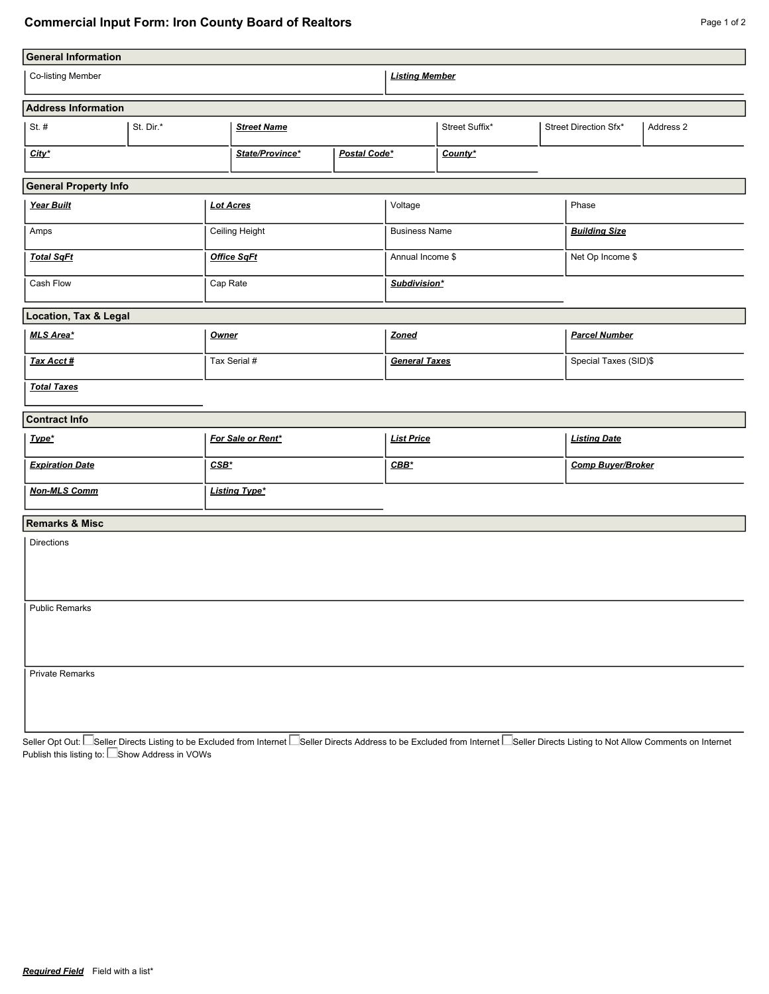## **Commercial Input Form: Iron County Board of Realtors Page 1 of 2** Page 1 of 2

| <b>General Information</b>   |           |                      |                    |                                                                                                                                                                                                                                  |                      |                  |                       |       |                          |           |  |  |
|------------------------------|-----------|----------------------|--------------------|----------------------------------------------------------------------------------------------------------------------------------------------------------------------------------------------------------------------------------|----------------------|------------------|-----------------------|-------|--------------------------|-----------|--|--|
| Co-listing Member            |           |                      |                    |                                                                                                                                                                                                                                  |                      |                  | <b>Listing Member</b> |       |                          |           |  |  |
| <b>Address Information</b>   |           |                      |                    |                                                                                                                                                                                                                                  |                      |                  |                       |       |                          |           |  |  |
| St. $#$                      | St. Dir.* |                      |                    | <b>Street Name</b>                                                                                                                                                                                                               |                      |                  | Street Suffix*        |       | Street Direction Sfx*    | Address 2 |  |  |
| City*                        |           |                      |                    | State/Province*<br>Postal Code*                                                                                                                                                                                                  |                      | County*          |                       |       |                          |           |  |  |
| <b>General Property Info</b> |           |                      |                    |                                                                                                                                                                                                                                  |                      |                  |                       |       |                          |           |  |  |
| Year Built                   |           | <b>Lot Acres</b>     |                    |                                                                                                                                                                                                                                  | Voltage              |                  |                       | Phase |                          |           |  |  |
| Amps                         |           | Ceiling Height       |                    | <b>Business Name</b>                                                                                                                                                                                                             |                      |                  | <b>Building Size</b>  |       |                          |           |  |  |
| <b>Total SqFt</b>            |           |                      | <b>Office SaFt</b> |                                                                                                                                                                                                                                  |                      | Annual Income \$ |                       |       | Net Op Income \$         |           |  |  |
| Cash Flow                    |           | Cap Rate             |                    |                                                                                                                                                                                                                                  | Subdivision*         |                  |                       |       |                          |           |  |  |
| Location, Tax & Legal        |           |                      |                    |                                                                                                                                                                                                                                  |                      |                  |                       |       |                          |           |  |  |
| MLS Area*                    |           |                      | Owner              |                                                                                                                                                                                                                                  | Zoned                |                  | <b>Parcel Number</b>  |       |                          |           |  |  |
| Tax Acct #                   |           | Tax Serial #         |                    |                                                                                                                                                                                                                                  | <b>General Taxes</b> |                  | Special Taxes (SID)\$ |       |                          |           |  |  |
| <b>Total Taxes</b>           |           |                      |                    |                                                                                                                                                                                                                                  |                      |                  |                       |       |                          |           |  |  |
| <b>Contract Info</b>         |           |                      |                    |                                                                                                                                                                                                                                  |                      |                  |                       |       |                          |           |  |  |
| Type*                        |           |                      | For Sale or Rent*  |                                                                                                                                                                                                                                  | <b>List Price</b>    |                  | <b>Listing Date</b>   |       |                          |           |  |  |
| <b>Expiration Date</b>       |           |                      | $CSB*$             |                                                                                                                                                                                                                                  |                      | $CBB*$           |                       |       | <b>Comp Buyer/Broker</b> |           |  |  |
| <b>Non-MLS Comm</b>          |           | <b>Listing Type*</b> |                    |                                                                                                                                                                                                                                  |                      |                  |                       |       |                          |           |  |  |
| <b>Remarks &amp; Misc</b>    |           |                      |                    |                                                                                                                                                                                                                                  |                      |                  |                       |       |                          |           |  |  |
| <b>Directions</b>            |           |                      |                    |                                                                                                                                                                                                                                  |                      |                  |                       |       |                          |           |  |  |
| <b>Public Remarks</b>        |           |                      |                    |                                                                                                                                                                                                                                  |                      |                  |                       |       |                          |           |  |  |
| <b>Private Remarks</b>       |           |                      |                    |                                                                                                                                                                                                                                  |                      |                  |                       |       |                          |           |  |  |
|                              |           |                      |                    | Seller Opt Out: Eseller Directs Listing to be Excluded from Internet Eseller Directs Address to be Excluded from Internet Eseller Directs Listing to Not Allow Comments on Internet<br>Publish this listing to: Eshow Address in |                      |                  |                       |       |                          |           |  |  |